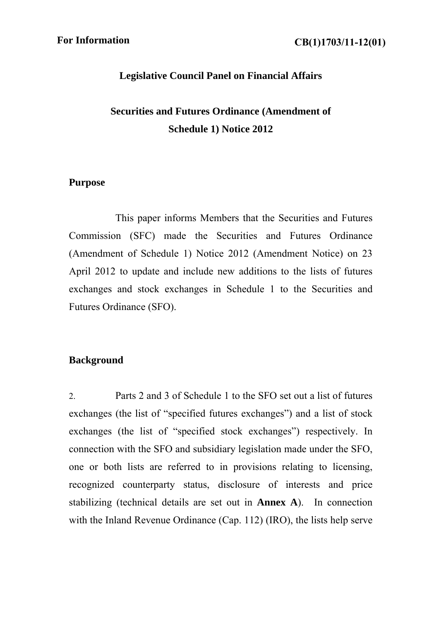#### **Legislative Council Panel on Financial Affairs**

# **Securities and Futures Ordinance (Amendment of Schedule 1) Notice 2012**

#### **Purpose**

 This paper informs Members that the Securities and Futures Commission (SFC) made the Securities and Futures Ordinance (Amendment of Schedule 1) Notice 2012 (Amendment Notice) on 23 April 2012 to update and include new additions to the lists of futures exchanges and stock exchanges in Schedule 1 to the Securities and Futures Ordinance (SFO).

### **Background**

2. Parts 2 and 3 of Schedule 1 to the SFO set out a list of futures exchanges (the list of "specified futures exchanges") and a list of stock exchanges (the list of "specified stock exchanges") respectively. In connection with the SFO and subsidiary legislation made under the SFO, one or both lists are referred to in provisions relating to licensing, recognized counterparty status, disclosure of interests and price stabilizing (technical details are set out in **Annex A**). In connection with the Inland Revenue Ordinance (Cap. 112) (IRO), the lists help serve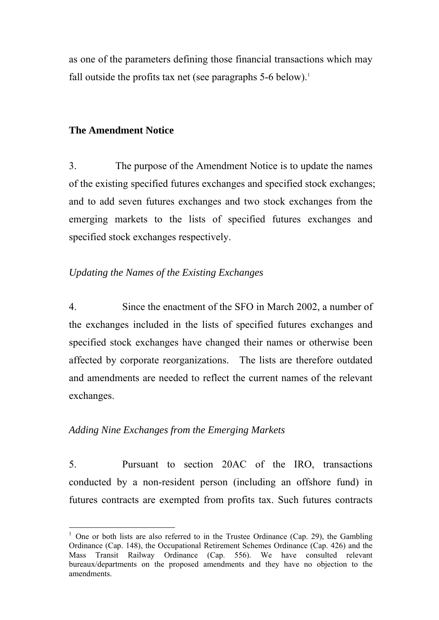as one of the parameters defining those financial transactions which may fall outside the profits tax net (see paragraphs  $5-6$  below).<sup>1</sup>

## **The Amendment Notice**

3. The purpose of the Amendment Notice is to update the names of the existing specified futures exchanges and specified stock exchanges; and to add seven futures exchanges and two stock exchanges from the emerging markets to the lists of specified futures exchanges and specified stock exchanges respectively.

## *Updating the Names of the Existing Exchanges*

4. Since the enactment of the SFO in March 2002, a number of the exchanges included in the lists of specified futures exchanges and specified stock exchanges have changed their names or otherwise been affected by corporate reorganizations. The lists are therefore outdated and amendments are needed to reflect the current names of the relevant exchanges.

## *Adding Nine Exchanges from the Emerging Markets*

 $\overline{a}$ 

5. Pursuant to section 20AC of the IRO, transactions conducted by a non-resident person (including an offshore fund) in futures contracts are exempted from profits tax. Such futures contracts

<sup>&</sup>lt;sup>1</sup> One or both lists are also referred to in the Trustee Ordinance (Cap. 29), the Gambling Ordinance (Cap. 148), the Occupational Retirement Schemes Ordinance (Cap. 426) and the Mass Transit Railway Ordinance (Cap. 556). We have consulted relevant bureaux/departments on the proposed amendments and they have no objection to the amendments.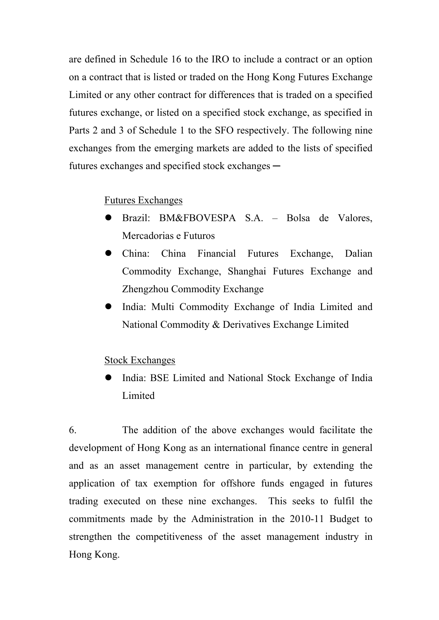are defined in Schedule 16 to the IRO to include a contract or an option on a contract that is listed or traded on the Hong Kong Futures Exchange Limited or any other contract for differences that is traded on a specified futures exchange, or listed on a specified stock exchange, as specified in Parts 2 and 3 of Schedule 1 to the SFO respectively. The following nine exchanges from the emerging markets are added to the lists of specified futures exchanges and specified stock exchanges —

#### Futures Exchanges

- Brazil: BM&FBOVESPA S.A. Bolsa de Valores, Mercadorias e Futuros
- China: China Financial Futures Exchange, Dalian Commodity Exchange, Shanghai Futures Exchange and Zhengzhou Commodity Exchange
- India: Multi Commodity Exchange of India Limited and National Commodity & Derivatives Exchange Limited

### Stock Exchanges

 India: BSE Limited and National Stock Exchange of India Limited

6. The addition of the above exchanges would facilitate the development of Hong Kong as an international finance centre in general and as an asset management centre in particular, by extending the application of tax exemption for offshore funds engaged in futures trading executed on these nine exchanges. This seeks to fulfil the commitments made by the Administration in the 2010-11 Budget to strengthen the competitiveness of the asset management industry in Hong Kong.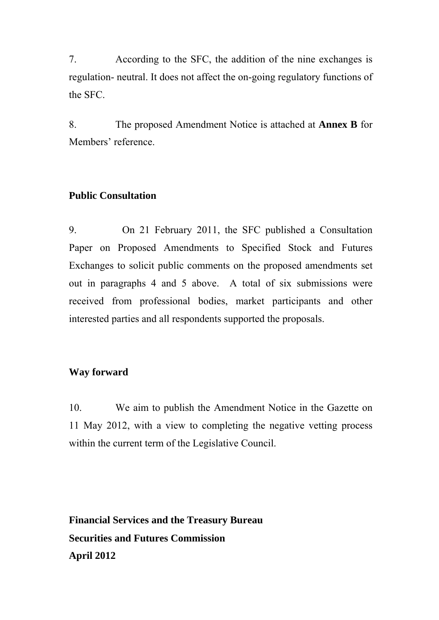7. According to the SFC, the addition of the nine exchanges is regulation- neutral. It does not affect the on-going regulatory functions of the SFC.

8. The proposed Amendment Notice is attached at **Annex B** for Members' reference.

### **Public Consultation**

9. On 21 February 2011, the SFC published a Consultation Paper on Proposed Amendments to Specified Stock and Futures Exchanges to solicit public comments on the proposed amendments set out in paragraphs 4 and 5 above. A total of six submissions were received from professional bodies, market participants and other interested parties and all respondents supported the proposals.

### **Way forward**

10. We aim to publish the Amendment Notice in the Gazette on 11 May 2012, with a view to completing the negative vetting process within the current term of the Legislative Council.

**Financial Services and the Treasury Bureau Securities and Futures Commission April 2012**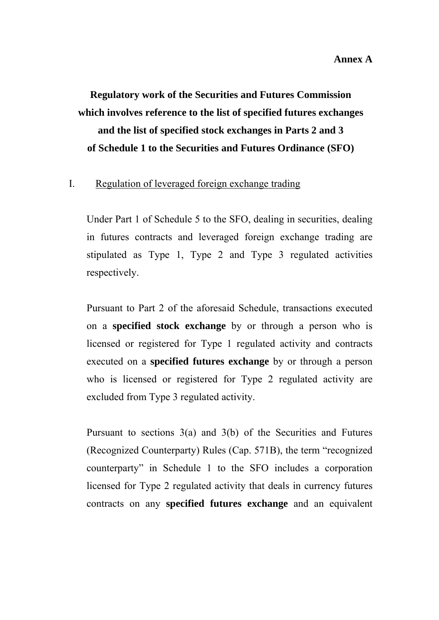# **Regulatory work of the Securities and Futures Commission which involves reference to the list of specified futures exchanges and the list of specified stock exchanges in Parts 2 and 3 of Schedule 1 to the Securities and Futures Ordinance (SFO)**

#### I. Regulation of leveraged foreign exchange trading

Under Part 1 of Schedule 5 to the SFO, dealing in securities, dealing in futures contracts and leveraged foreign exchange trading are stipulated as Type 1, Type 2 and Type 3 regulated activities respectively.

Pursuant to Part 2 of the aforesaid Schedule, transactions executed on a **specified stock exchange** by or through a person who is licensed or registered for Type 1 regulated activity and contracts executed on a **specified futures exchange** by or through a person who is licensed or registered for Type 2 regulated activity are excluded from Type 3 regulated activity.

Pursuant to sections 3(a) and 3(b) of the Securities and Futures (Recognized Counterparty) Rules (Cap. 571B), the term "recognized counterparty" in Schedule 1 to the SFO includes a corporation licensed for Type 2 regulated activity that deals in currency futures contracts on any **specified futures exchange** and an equivalent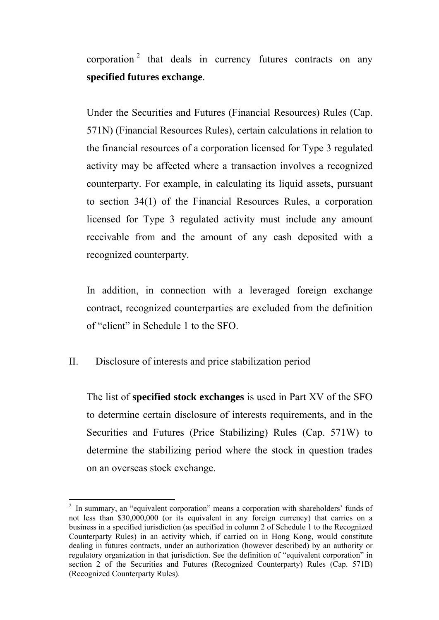corporation<sup>2</sup> that deals in currency futures contracts on any **specified futures exchange**.

Under the Securities and Futures (Financial Resources) Rules (Cap. 571N) (Financial Resources Rules), certain calculations in relation to the financial resources of a corporation licensed for Type 3 regulated activity may be affected where a transaction involves a recognized counterparty. For example, in calculating its liquid assets, pursuant to section 34(1) of the Financial Resources Rules, a corporation licensed for Type 3 regulated activity must include any amount receivable from and the amount of any cash deposited with a recognized counterparty.

In addition, in connection with a leveraged foreign exchange contract, recognized counterparties are excluded from the definition of "client" in Schedule 1 to the SFO.

## II. Disclosure of interests and price stabilization period

 $\overline{a}$ 

The list of **specified stock exchanges** is used in Part XV of the SFO to determine certain disclosure of interests requirements, and in the Securities and Futures (Price Stabilizing) Rules (Cap. 571W) to determine the stabilizing period where the stock in question trades on an overseas stock exchange.

 $2$  In summary, an "equivalent corporation" means a corporation with shareholders' funds of not less than \$30,000,000 (or its equivalent in any foreign currency) that carries on a business in a specified jurisdiction (as specified in column 2 of Schedule 1 to the Recognized Counterparty Rules) in an activity which, if carried on in Hong Kong, would constitute dealing in futures contracts, under an authorization (however described) by an authority or regulatory organization in that jurisdiction. See the definition of "equivalent corporation" in section 2 of the Securities and Futures (Recognized Counterparty) Rules (Cap. 571B) (Recognized Counterparty Rules).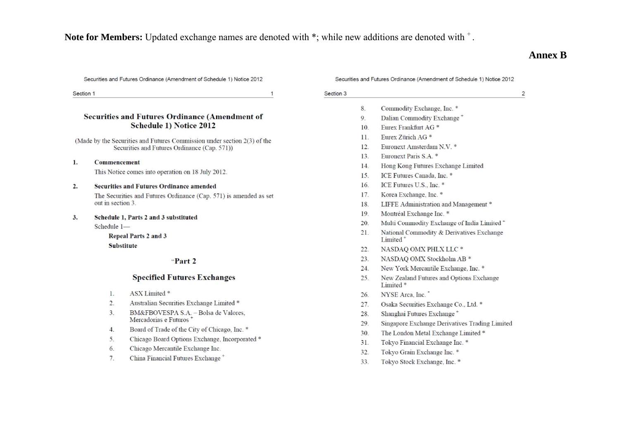#### **Note for Members:** Updated exchange names are denoted with  $*$ ; while new additions are denoted with  $*$ .

## **Annex B**

 $\overline{2}$ 

Securities and Futures Ordinance (Amendment of Schedule 1) Notice 2012

Section 1

#### **Securities and Futures Ordinance (Amendment of Schedule 1) Notice 2012**

(Made by the Securities and Futures Commission under section 2(3) of the Securities and Futures Ordinance (Cap. 571))

#### 1. Commencement

This Notice comes into operation on 18 July 2012.

#### $2.$ **Securities and Futures Ordinance amended**

The Securities and Futures Ordinance (Cap. 571) is amended as set out in section 3.

#### $3.$ Schedule 1, Parts 2 and 3 substituted

Schedule 1-

#### **Repeal Parts 2 and 3 Substitute**

#### "Part 2

#### **Specified Futures Exchanges**

- ASX Limited \*  $\mathbf{1}$ .
- $2.$ Australian Securities Exchange Limited \*
- BM&FBOVESPA S.A. Bolsa de Valores,  $3.$ Mercadorias e Futuros<sup>+</sup>
- Board of Trade of the City of Chicago, Inc. \*  $\overline{4}$ .
- 5. Chicago Board Options Exchange, Incorporated \*
- 6. Chicago Mercantile Exchange Inc.
- $7.$ China Financial Futures Exchange<sup>+</sup>

Securities and Futures Ordinance (Amendment of Schedule 1) Notice 2012

- 8. Commodity Exchange, Inc. \* 9. Dalian Commodity Exchange<sup>+</sup>
- 10 Eurex Frankfurt AG<sup>\*</sup>
- Eurex Zürich AG<sup>\*</sup>  $11.$

Section 3

- $12.$ Euronext Amsterdam N.V. \*
- 13. Euronext Paris S.A. \*
- 14. Hong Kong Futures Exchange Limited
- 15. ICE Futures Canada, Inc. \*
- 16. ICE Futures U.S., Inc. \*
- Korea Exchange, Inc. \*  $17$
- 18. LIFFE Administration and Management \*
- 19. Montréal Exchange Inc. \*
- 20. Multi Commodity Exchange of India Limited<sup>+</sup>
- National Commodity & Derivatives Exchange  $21$ Limited<sup>+</sup>
- $22.$ NASDAQ OMX PHLX LLC \*
- 23. NASDAO OMX Stockholm AB \*
- New York Mercantile Exchange, Inc. \* 24.
- New Zealand Futures and Options Exchange 25. Limited<sup>\*</sup>
- 26. NYSE Area, Inc.
- 27. Osaka Securities Exchange Co., Ltd. \*
- Shanghai Futures Exchange<sup>+</sup> 28.
- 29. Singapore Exchange Derivatives Trading Limited
- The London Metal Exchange Limited \*  $30.$
- Tokyo Financial Exchange Inc. \*  $31.$
- $32.$ Tokyo Grain Exchange Inc. \*
- $33.$ Tokyo Stock Exchange, Inc. \*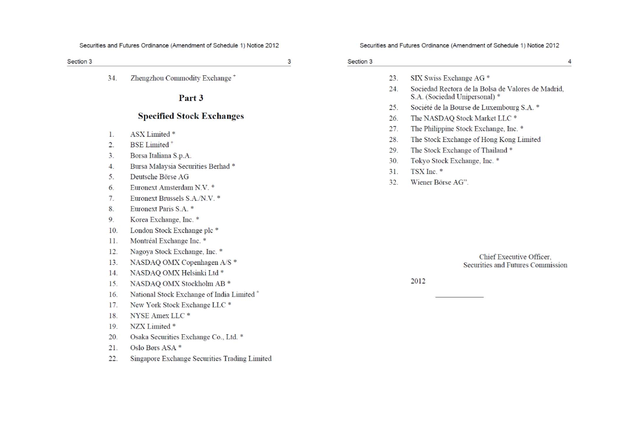Securities and Futures Ordinance (Amendment of Schedule 1) Notice 2012

Section 3

| 3 |                        |                                                             | 3<br>Section 3 |     |                                                                                     | 4 |
|---|------------------------|-------------------------------------------------------------|----------------|-----|-------------------------------------------------------------------------------------|---|
|   | 34.                    | Zhengzhou Commodity Exchange <sup>+</sup>                   |                | 23. | SIX Swiss Exchange AG *                                                             |   |
|   |                        | Part 3                                                      |                | 24. | Sociedad Rectora de la Bolsa de Valores de Madrid,<br>S.A. (Sociedad Unipersonal) * |   |
|   |                        |                                                             |                | 25. | Société de la Bourse de Luxembourg S.A. *                                           |   |
|   |                        | <b>Specified Stock Exchanges</b>                            |                | 26. | The NASDAQ Stock Market LLC *                                                       |   |
|   |                        | ASX Limited *                                               |                | 27. | The Philippine Stock Exchange, Inc. *                                               |   |
|   | 1.<br>$\overline{2}$ . | <b>BSE</b> Limited <sup>+</sup>                             |                | 28. | The Stock Exchange of Hong Kong Limited                                             |   |
|   | 3.                     |                                                             |                | 29. | The Stock Exchange of Thailand *                                                    |   |
|   |                        | Borsa Italiana S.p.A.<br>Bursa Malaysia Securities Berhad * |                | 30. | Tokyo Stock Exchange, Inc. *                                                        |   |
|   | 4.<br>5.               | Deutsche Börse AG                                           |                | 31. | TSX Inc. *                                                                          |   |
|   | 6.                     | Euronext Amsterdam N.V. *                                   |                | 32. | Wiener Börse AG".                                                                   |   |
|   | 7.                     | Euronext Brussels S.A./N.V. *                               |                |     |                                                                                     |   |
|   | 8.                     | Euronext Paris S.A. *                                       |                |     |                                                                                     |   |
|   | 9.                     | Korea Exchange, Inc. *                                      |                |     |                                                                                     |   |
|   | 10.                    | London Stock Exchange plc *                                 |                |     |                                                                                     |   |
|   | 11.                    | Montréal Exchange Inc. *                                    |                |     |                                                                                     |   |
|   | 12.                    | Nagoya Stock Exchange, Inc. *                               |                |     |                                                                                     |   |
|   | 13.                    | NASDAQ OMX Copenhagen A/S *                                 |                |     | Chief Executive Officer.                                                            |   |
|   | 14.                    | NASDAQ OMX Helsinki Ltd *                                   |                |     | Securities and Futures Commission                                                   |   |
|   | 15.                    | NASDAQ OMX Stockholm AB *                                   |                |     | 2012                                                                                |   |
|   | 16.                    | National Stock Exchange of India Limited <sup>+</sup>       |                |     |                                                                                     |   |
|   | 17.                    | New York Stock Exchange LLC <sup>*</sup>                    |                |     |                                                                                     |   |
|   | 18.                    | NYSE Amex LLC <sup>*</sup>                                  |                |     |                                                                                     |   |
|   | 19.                    | NZX Limited *                                               |                |     |                                                                                     |   |
|   | 20.                    | Osaka Securities Exchange Co., Ltd. *                       |                |     |                                                                                     |   |
|   | 21.                    | Oslo Børs ASA <sup>*</sup>                                  |                |     |                                                                                     |   |
|   | 22.                    | Singapore Exchange Securities Trading Limited               |                |     |                                                                                     |   |
|   |                        |                                                             |                |     |                                                                                     |   |
|   |                        |                                                             |                |     |                                                                                     |   |
|   |                        |                                                             |                |     |                                                                                     |   |